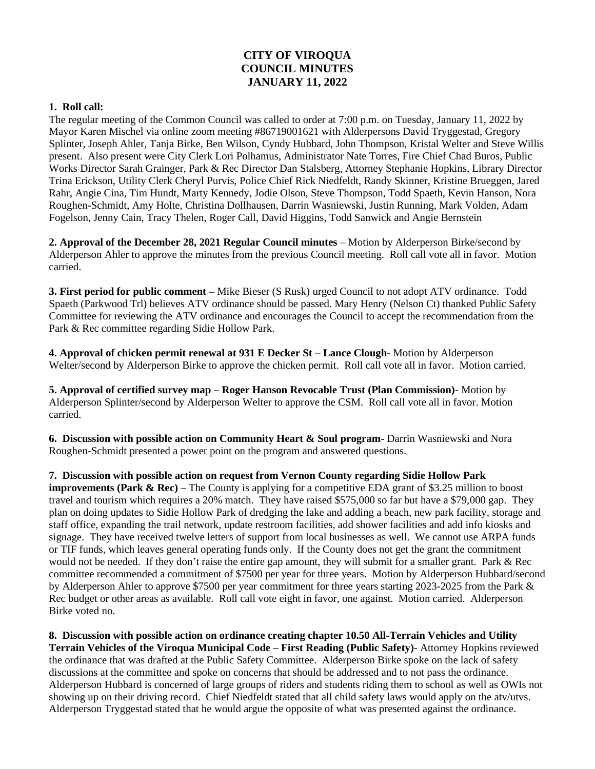## **CITY OF VIROQUA COUNCIL MINUTES JANUARY 11, 2022**

## **1. Roll call:**

The regular meeting of the Common Council was called to order at 7:00 p.m. on Tuesday, January 11, 2022 by Mayor Karen Mischel via online zoom meeting #86719001621 with Alderpersons David Tryggestad, Gregory Splinter, Joseph Ahler, Tanja Birke, Ben Wilson, Cyndy Hubbard, John Thompson, Kristal Welter and Steve Willis present. Also present were City Clerk Lori Polhamus, Administrator Nate Torres, Fire Chief Chad Buros, Public Works Director Sarah Grainger, Park & Rec Director Dan Stalsberg, Attorney Stephanie Hopkins, Library Director Trina Erickson, Utility Clerk Cheryl Purvis, Police Chief Rick Niedfeldt, Randy Skinner, Kristine Brueggen, Jared Rahr, Angie Cina, Tim Hundt, Marty Kennedy, Jodie Olson, Steve Thompson, Todd Spaeth, Kevin Hanson, Nora Roughen-Schmidt, Amy Holte, Christina Dollhausen, Darrin Wasniewski, Justin Running, Mark Volden, Adam Fogelson, Jenny Cain, Tracy Thelen, Roger Call, David Higgins, Todd Sanwick and Angie Bernstein

**2. Approval of the December 28, 2021 Regular Council minutes** – Motion by Alderperson Birke/second by Alderperson Ahler to approve the minutes from the previous Council meeting. Roll call vote all in favor. Motion carried.

**3. First period for public comment –** Mike Bieser (S Rusk) urged Council to not adopt ATV ordinance. Todd Spaeth (Parkwood Trl) believes ATV ordinance should be passed. Mary Henry (Nelson Ct) thanked Public Safety Committee for reviewing the ATV ordinance and encourages the Council to accept the recommendation from the Park & Rec committee regarding Sidie Hollow Park.

**4. Approval of chicken permit renewal at 931 E Decker St – Lance Clough**- Motion by Alderperson Welter/second by Alderperson Birke to approve the chicken permit. Roll call vote all in favor. Motion carried.

**5. Approval of certified survey map – Roger Hanson Revocable Trust (Plan Commission)**- Motion by Alderperson Splinter/second by Alderperson Welter to approve the CSM. Roll call vote all in favor. Motion carried.

**6. Discussion with possible action on Community Heart & Soul program**- Darrin Wasniewski and Nora Roughen-Schmidt presented a power point on the program and answered questions.

**7. Discussion with possible action on request from Vernon County regarding Sidie Hollow Park improvements (Park & Rec) – The County is applying for a competitive EDA grant of \$3.25 million to boost** travel and tourism which requires a 20% match. They have raised \$575,000 so far but have a \$79,000 gap. They plan on doing updates to Sidie Hollow Park of dredging the lake and adding a beach, new park facility, storage and staff office, expanding the trail network, update restroom facilities, add shower facilities and add info kiosks and signage. They have received twelve letters of support from local businesses as well. We cannot use ARPA funds or TIF funds, which leaves general operating funds only. If the County does not get the grant the commitment would not be needed. If they don't raise the entire gap amount, they will submit for a smaller grant. Park & Rec committee recommended a commitment of \$7500 per year for three years. Motion by Alderperson Hubbard/second by Alderperson Ahler to approve \$7500 per year commitment for three years starting 2023-2025 from the Park & Rec budget or other areas as available. Roll call vote eight in favor, one against. Motion carried. Alderperson Birke voted no.

**8. Discussion with possible action on ordinance creating chapter 10.50 All-Terrain Vehicles and Utility Terrain Vehicles of the Viroqua Municipal Code – First Reading (Public Safety)**- Attorney Hopkins reviewed the ordinance that was drafted at the Public Safety Committee. Alderperson Birke spoke on the lack of safety discussions at the committee and spoke on concerns that should be addressed and to not pass the ordinance. Alderperson Hubbard is concerned of large groups of riders and students riding them to school as well as OWIs not showing up on their driving record. Chief Niedfeldt stated that all child safety laws would apply on the atv/utvs. Alderperson Tryggestad stated that he would argue the opposite of what was presented against the ordinance.